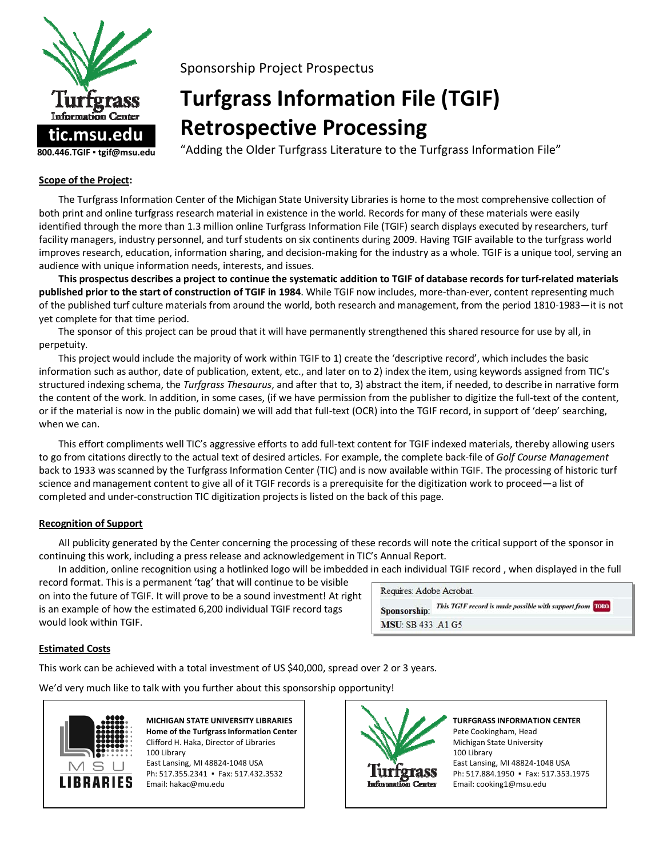

Sponsorship Project Prospectus

# **Turfgrass Information File (TGIF) Retrospective Processing**

"Adding the Older Turfgrass Literature to the Turfgrass Information File"

### **Scope of the Project:**

The Turfgrass Information Center of the Michigan State University Libraries is home to the most comprehensive collection of both print and online turfgrass research material in existence in the world. Records for many of these materials were easily identified through the more than 1.3 million online Turfgrass Information File (TGIF) search displays executed by researchers, turf facility managers, industry personnel, and turf students on six continents during 2009. Having TGIF available to the turfgrass world improves research, education, information sharing, and decision-making for the industry as a whole. TGIF is a unique tool, serving an audience with unique information needs, interests, and issues.

This prospectus describes a project to continue the systematic addition to TGIF of database records for turf-related materials **published prior to the start of construction of TGIF in 1984**. While TGIF now includes, more‐than‐ever, content representing much of the published turf culture materials from around the world, both research and management, from the period 1810‐1983—it is not yet complete for that time period.

The sponsor of this project can be proud that it will have permanently strengthened this shared resource for use by all, in perpetuity.

This project would include the majority of work within TGIF to 1) create the 'descriptive record', which includes the basic information such as author, date of publication, extent, etc., and later on to 2) index the item, using keywords assigned from TIC's structured indexing schema, the *Turfgrass Thesaurus*, and after that to, 3) abstract the item, if needed, to describe in narrative form the content of the work. In addition, in some cases, (if we have permission from the publisher to digitize the full-text of the content, or if the material is now in the public domain) we will add that full-text (OCR) into the TGIF record, in support of 'deep' searching, when we can.

This effort compliments well TIC's aggressive efforts to add full-text content for TGIF indexed materials, thereby allowing users to go from citations directly to the actual text of desired articles. For example, the complete back‐file of *Golf Course Management* back to 1933 was scanned by the Turfgrass Information Center (TIC) and is now available within TGIF. The processing of historic turf science and management content to give all of it TGIF records is a prerequisite for the digitization work to proceed—a list of completed and under‐construction TIC digitization projects is listed on the back of this page.

#### **Recognition of Support**

All publicity generated by the Center concerning the processing of these records will note the critical support of the sponsor in continuing this work, including a press release and acknowledgement in TIC's Annual Report.

In addition, online recognition using a hotlinked logo will be imbedded in each individual TGIF record , when displayed in the full record format. This is a permanent 'tag' that will continue to be visible

on into the future of TGIF. It will prove to be a sound investment! At right is an example of how the estimated 6,200 individual TGIF record tags would look within TGIF.

| Requires: Adobe Acrobat. |                                                           |
|--------------------------|-----------------------------------------------------------|
| Sponsorship:             | This TGIF record is made possible with support from TORO. |
| MSU: SB 433 .A1 G5       |                                                           |

## **Estimated Costs**

This work can be achieved with a total investment of US \$40,000, spread over 2 or 3 years.

We'd very much like to talk with you further about this sponsorship opportunity!



**MICHIGAN STATE UNIVERSITY LIBRARIES Home of the Turfgrass Information Center** Clifford H. Haka, Director of Libraries 100 Library East Lansing, MI 48824‐1048 USA

Ph: 517.355.2341 • Fax: 517.432.3532 Email: hakac@mu.edu



**TURFGRASS INFORMATION CENTER** Pete Cookingham, Head Michigan State University 100 Library East Lansing, MI 48824‐1048 USA Ph: 517.884.1950 · Fax: 517.353.1975 Email: cooking1@msu.edu